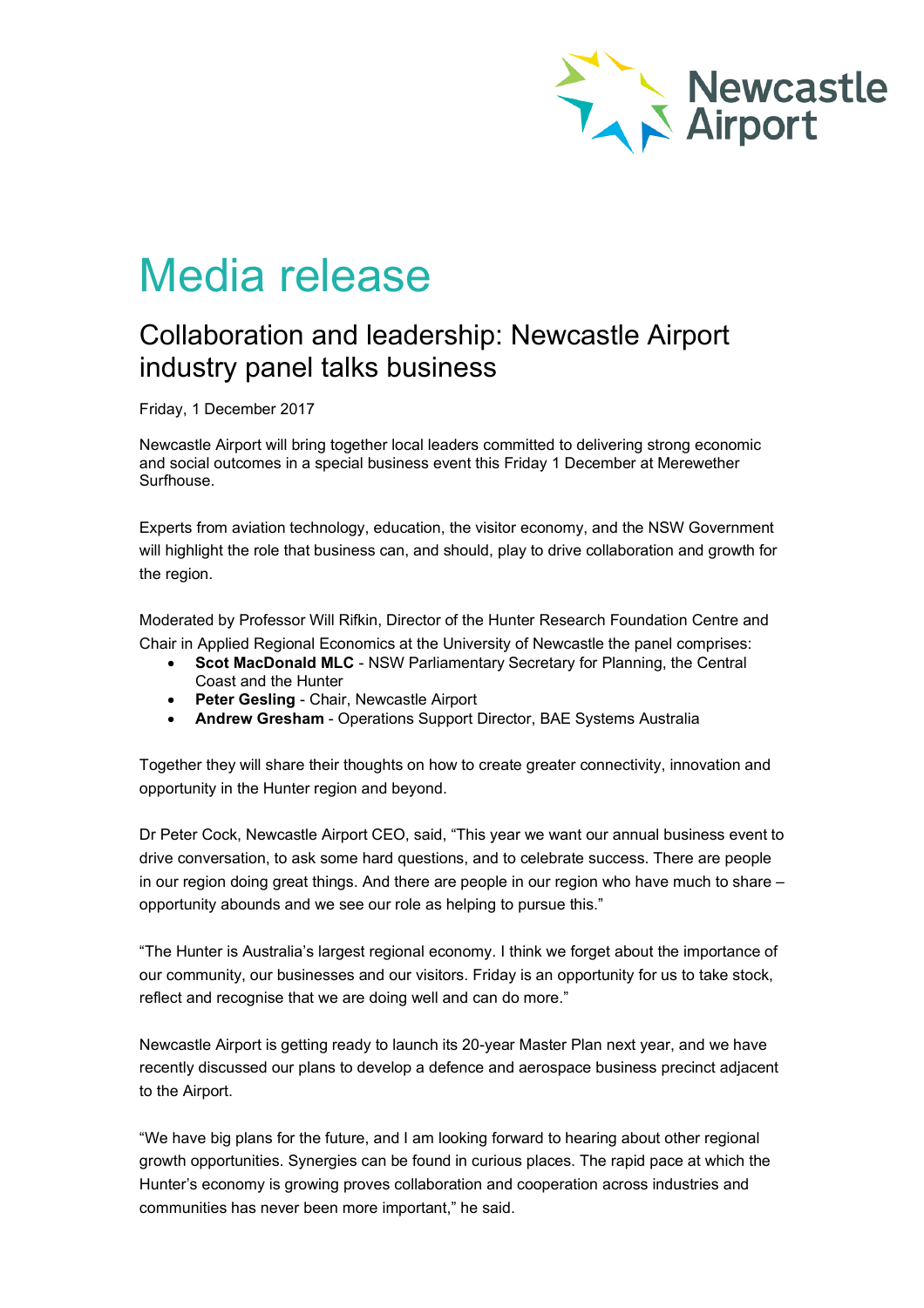

# Media release

# Collaboration and leadership: Newcastle Airport industry panel talks business

Friday, 1 December 2017

Newcastle Airport will bring together local leaders committed to delivering strong economic and social outcomes in a special business event this Friday 1 December at Merewether Surfhouse.

Experts from aviation technology, education, the visitor economy, and the NSW Government will highlight the role that business can, and should, play to drive collaboration and growth for the region.

Moderated by Professor Will Rifkin, Director of the Hunter Research Foundation Centre and Chair in Applied Regional Economics at the University of Newcastle the panel comprises:

- **Scot MacDonald MLC** NSW Parliamentary Secretary for Planning, the Central Coast and the Hunter
- **Peter Gesling** Chair, Newcastle Airport
- **Andrew Gresham** Operations Support Director, BAE Systems Australia

Together they will share their thoughts on how to create greater connectivity, innovation and opportunity in the Hunter region and beyond.

Dr Peter Cock, Newcastle Airport CEO, said, "This year we want our annual business event to drive conversation, to ask some hard questions, and to celebrate success. There are people in our region doing great things. And there are people in our region who have much to share – opportunity abounds and we see our role as helping to pursue this."

"The Hunter is Australia's largest regional economy. I think we forget about the importance of our community, our businesses and our visitors. Friday is an opportunity for us to take stock, reflect and recognise that we are doing well and can do more."

Newcastle Airport is getting ready to launch its 20-year Master Plan next year, and we have recently discussed our plans to develop a defence and aerospace business precinct adjacent to the Airport.

"We have big plans for the future, and I am looking forward to hearing about other regional growth opportunities. Synergies can be found in curious places. The rapid pace at which the Hunter's economy is growing proves collaboration and cooperation across industries and communities has never been more important," he said.